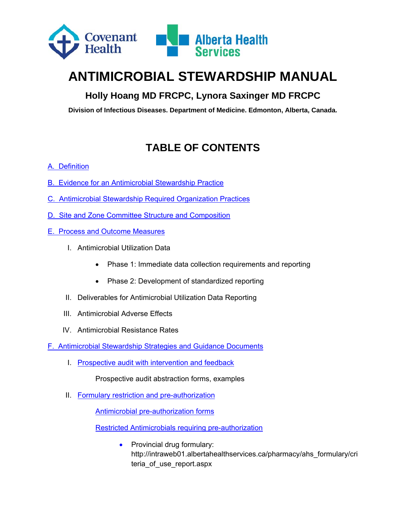

# **ANTIMICROBIAL STEWARDSHIP MANUAL**

# **Holly Hoang MD FRCPC, Lynora Saxinger MD FRCPC**

**Division of Infectious Diseases. Department of Medicine. Edmonton, Alberta, Canada.** 

# **TABLE OF CONTENTS**

#### A.Definition

- B. Evidence for an Antimicrobial Stewardship Practice
- C. Antimicrobial Stewardship Required Organization Practices
- D. Site and Zone Committee Structure and Composition
- E. Process and Outcome Measures
	- I. Antimicrobial Utilization Data
		- Phase 1: Immediate data collection requirements and reporting
		- Phase 2: Development of standardized reporting
	- II. Deliverables for Antimicrobial Utilization Data Reporting
	- III. Antimicrobial Adverse Effects
	- IV. Antimicrobial Resistance Rates

F. Antimicrobial Stewardship Strategies and Guidance Documents

I. Prospective audit with intervention and feedback

Prospective audit abstraction forms, examples

II. Formulary restriction and pre-authorization

Antimicrobial pre-authorization forms

Restricted Antimicrobials requiring pre-authorization

• Provincial drug formulary: http://intraweb01.albertahealthservices.ca/pharmacy/ahs\_formulary/cri teria of use report.aspx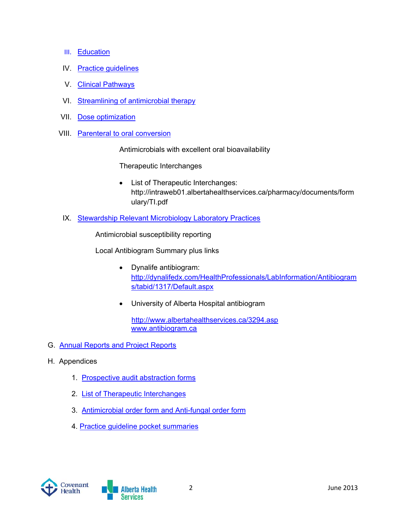- III. Education
- IV. Practice guidelines
- V. Clinical Pathways
- VI. Streamlining of antimicrobial therapy
- VII. Dose optimization
- VIII. Parenteral to oral conversion

Antimicrobials with excellent oral bioavailability

Therapeutic Interchanges

- List of Therapeutic Interchanges: http://intraweb01.albertahealthservices.ca/pharmacy/documents/form ulary/TI.pdf
- IX. Stewardship Relevant Microbiology Laboratory Practices

Antimicrobial susceptibility reporting

Local Antibiogram Summary plus links

- Dynalife antibiogram: http://dynalifedx.com/HealthProfessionals/LabInformation/Antibiogram s/tabid/1317/Default.aspx
- University of Alberta Hospital antibiogram

 http://www.albertahealthservices.ca/3294.asp www.antibiogram.ca

- G. Annual Reports and Project Reports
- H. Appendices
	- 1. Prospective audit abstraction forms
	- 2. List of Therapeutic Interchanges
	- 3. Antimicrobial order form and Anti-fungal order form
	- 4. Practice guideline pocket summaries

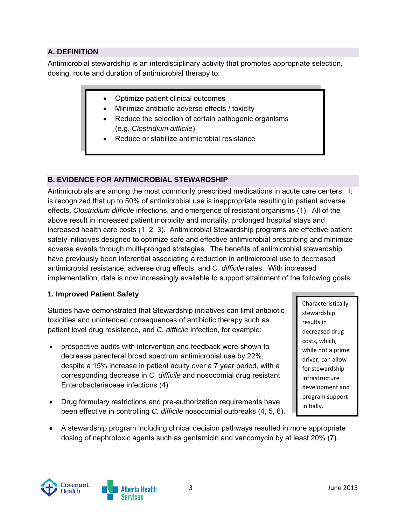#### **A. DEFINITION**

Antimicrobial stewardship is an interdisciplinary activity that promotes appropriate selection, dosing, route and duration of antimicrobial therapy to:

- Optimize patient clinical outcomes
- Minimize antibiotic adverse effects / toxicity
- Reduce the selection of certain pathogenic organisms (e.g. *Clostridium difficile*)
- Reduce or stabilize antimicrobial resistance

#### **B. EVIDENCE FOR ANTIMICROBIAL STEWARDSHIP**

Antimicrobials are among the most commonly prescribed medications in acute care centers. It is recognized that up to 50% of antimicrobial use is inappropriate resulting in patient adverse effects, *Clostridium difficile* infections, and emergence of resistant organisms (1). All of the above result in increased patient morbidity and mortality, prolonged hospital stays and increased health care costs (1, 2, 3). Antimicrobial Stewardship programs are effective patient safety initiatives designed to optimize safe and effective antimicrobial prescribing and minimize adverse events through multi-pronged strategies. The benefits of antimicrobial stewardship have previously been inferential associating a reduction in antimicrobial use to decreased antimicrobial resistance, adverse drug effects, and *C. difficile* rates. With increased implementation, data is now increasingly available to support attainment of the following goals:

#### **1. Improved Patient Safety**

Studies have demonstrated that Stewardship initiatives can limit antibiotic toxicities and unintended consequences of antibiotic therapy such as patient level drug resistance, and *C. difficile* infection, for example:

- prospective audits with intervention and feedback were shown to decrease parenteral broad spectrum antimicrobial use by 22%, despite a 15% increase in patient acuity over a 7 year period, with a corresponding decrease in *C. difficile* and nosocomial drug resistant Enterobacteriaceae infections (4)
- Drug formulary restrictions and pre-authorization requirements have been effective in controlling *C. difficile* nosocomial outbreaks (4, 5, 6).

Characteristically stewardship results in decreased drug costs, which, while not a prime driver, can allow for stewardship infrastructure development and program support initially.

 A stewardship program including clinical decision pathways resulted in more appropriate dosing of nephrotoxic agents such as gentamicin and vancomycin by at least 20% (7).

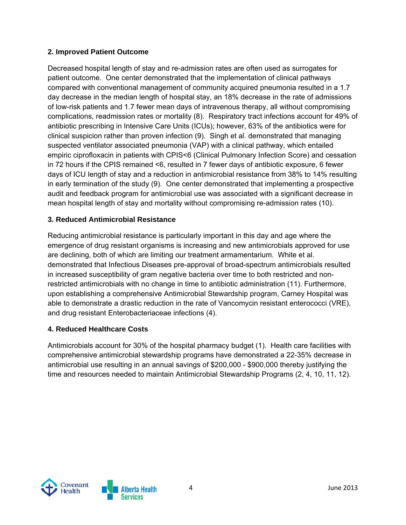#### **2. Improved Patient Outcome**

Decreased hospital length of stay and re-admission rates are often used as surrogates for patient outcome. One center demonstrated that the implementation of clinical pathways compared with conventional management of community acquired pneumonia resulted in a 1.7 day decrease in the median length of hospital stay, an 18% decrease in the rate of admissions of low-risk patients and 1.7 fewer mean days of intravenous therapy, all without compromising complications, readmission rates or mortality (8). Respiratory tract infections account for 49% of antibiotic prescribing in Intensive Care Units (ICUs); however, 63% of the antibiotics were for clinical suspicion rather than proven infection (9). Singh et al. demonstrated that managing suspected ventilator associated pneumonia (VAP) with a clinical pathway, which entailed empiric ciprofloxacin in patients with CPIS<6 (Clinical Pulmonary Infection Score) and cessation in 72 hours if the CPIS remained <6, resulted in 7 fewer days of antibiotic exposure, 6 fewer days of ICU length of stay and a reduction in antimicrobial resistance from 38% to 14% resulting in early termination of the study (9). One center demonstrated that implementing a prospective audit and feedback program for antimicrobial use was associated with a significant decrease in mean hospital length of stay and mortality without compromising re-admission rates (10).

#### **3. Reduced Antimicrobial Resistance**

Reducing antimicrobial resistance is particularly important in this day and age where the emergence of drug resistant organisms is increasing and new antimicrobials approved for use are declining, both of which are limiting our treatment armamentarium. White et al. demonstrated that Infectious Diseases pre-approval of broad-spectrum antimicrobials resulted in increased susceptibility of gram negative bacteria over time to both restricted and nonrestricted antimicrobials with no change in time to antibiotic administration (11). Furthermore, upon establishing a comprehensive Antimicrobial Stewardship program, Carney Hospital was able to demonstrate a drastic reduction in the rate of Vancomycin resistant enterococci (VRE), and drug resistant Enterobacteriaceae infections (4).

#### **4. Reduced Healthcare Costs**

Antimicrobials account for 30% of the hospital pharmacy budget (1). Health care facilities with comprehensive antimicrobial stewardship programs have demonstrated a 22-35% decrease in antimicrobial use resulting in an annual savings of \$200,000 - \$900,000 thereby justifying the time and resources needed to maintain Antimicrobial Stewardship Programs (2, 4, 10, 11, 12).

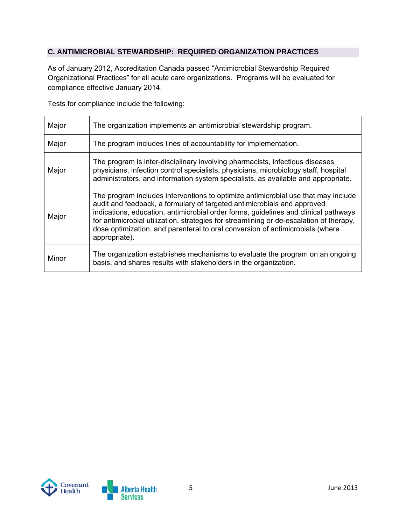#### **C. ANTIMICROBIAL STEWARDSHIP: REQUIRED ORGANIZATION PRACTICES**

As of January 2012, Accreditation Canada passed "Antimicrobial Stewardship Required Organizational Practices" for all acute care organizations. Programs will be evaluated for compliance effective January 2014.

Tests for compliance include the following:

| Major | The organization implements an antimicrobial stewardship program.                                                                                                                                                                                                                                                                                                                                                                                |
|-------|--------------------------------------------------------------------------------------------------------------------------------------------------------------------------------------------------------------------------------------------------------------------------------------------------------------------------------------------------------------------------------------------------------------------------------------------------|
| Major | The program includes lines of accountability for implementation.                                                                                                                                                                                                                                                                                                                                                                                 |
| Major | The program is inter-disciplinary involving pharmacists, infectious diseases<br>physicians, infection control specialists, physicians, microbiology staff, hospital<br>administrators, and information system specialists, as available and appropriate.                                                                                                                                                                                         |
| Major | The program includes interventions to optimize antimicrobial use that may include<br>audit and feedback, a formulary of targeted antimicrobials and approved<br>indications, education, antimicrobial order forms, guidelines and clinical pathways<br>for antimicrobial utilization, strategies for streamlining or de-escalation of therapy,<br>dose optimization, and parenteral to oral conversion of antimicrobials (where<br>appropriate). |
| Minor | The organization establishes mechanisms to evaluate the program on an ongoing<br>basis, and shares results with stakeholders in the organization.                                                                                                                                                                                                                                                                                                |

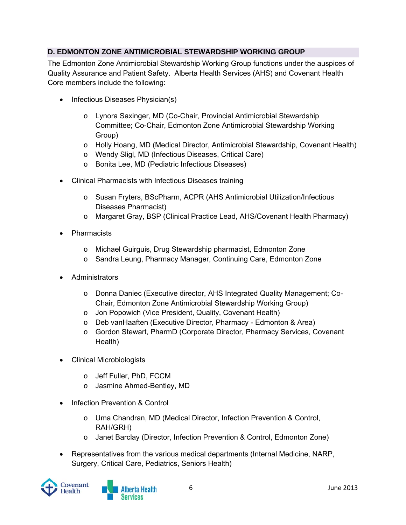### **D. EDMONTON ZONE ANTIMICROBIAL STEWARDSHIP WORKING GROUP**

The Edmonton Zone Antimicrobial Stewardship Working Group functions under the auspices of Quality Assurance and Patient Safety. Alberta Health Services (AHS) and Covenant Health Core members include the following:

- Infectious Diseases Physician(s)
	- o Lynora Saxinger, MD (Co-Chair, Provincial Antimicrobial Stewardship Committee; Co-Chair, Edmonton Zone Antimicrobial Stewardship Working Group)
	- o Holly Hoang, MD (Medical Director, Antimicrobial Stewardship, Covenant Health)
	- o Wendy Sligl, MD (Infectious Diseases, Critical Care)
	- o Bonita Lee, MD (Pediatric Infectious Diseases)
- Clinical Pharmacists with Infectious Diseases training
	- o Susan Fryters, BScPharm, ACPR (AHS Antimicrobial Utilization/Infectious Diseases Pharmacist)
	- o Margaret Gray, BSP (Clinical Practice Lead, AHS/Covenant Health Pharmacy)
- Pharmacists
	- o Michael Guirguis, Drug Stewardship pharmacist, Edmonton Zone
	- o Sandra Leung, Pharmacy Manager, Continuing Care, Edmonton Zone
- Administrators
	- o Donna Daniec (Executive director, AHS Integrated Quality Management; Co-Chair, Edmonton Zone Antimicrobial Stewardship Working Group)
	- o Jon Popowich (Vice President, Quality, Covenant Health)
	- o Deb vanHaaften (Executive Director, Pharmacy Edmonton & Area)
	- o Gordon Stewart, PharmD (Corporate Director, Pharmacy Services, Covenant Health)
- Clinical Microbiologists
	- o Jeff Fuller, PhD, FCCM
	- o Jasmine Ahmed-Bentley, MD
- Infection Prevention & Control
	- o Uma Chandran, MD (Medical Director, Infection Prevention & Control, RAH/GRH)
	- o Janet Barclay (Director, Infection Prevention & Control, Edmonton Zone)
- Representatives from the various medical departments (Internal Medicine, NARP, Surgery, Critical Care, Pediatrics, Seniors Health)

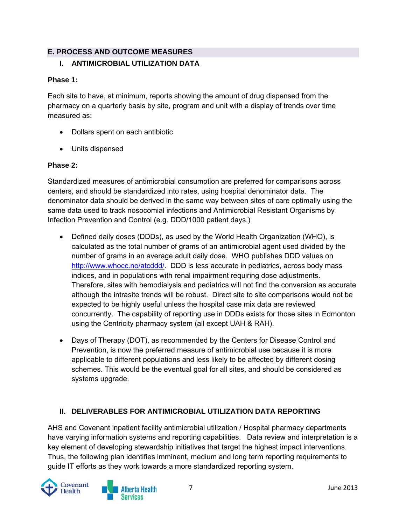### **E. PROCESS AND OUTCOME MEASURES**

### **I. ANTIMICROBIAL UTILIZATION DATA**

#### **Phase 1:**

Each site to have, at minimum, reports showing the amount of drug dispensed from the pharmacy on a quarterly basis by site, program and unit with a display of trends over time measured as:

- Dollars spent on each antibiotic
- Units dispensed

#### **Phase 2:**

Standardized measures of antimicrobial consumption are preferred for comparisons across centers, and should be standardized into rates, using hospital denominator data. The denominator data should be derived in the same way between sites of care optimally using the same data used to track nosocomial infections and Antimicrobial Resistant Organisms by Infection Prevention and Control (e.g. DDD/1000 patient days.)

- Defined daily doses (DDDs), as used by the World Health Organization (WHO), is calculated as the total number of grams of an antimicrobial agent used divided by the number of grams in an average adult daily dose. WHO publishes DDD values on http://www.whocc.no/atcddd/. DDD is less accurate in pediatrics, across body mass indices, and in populations with renal impairment requiring dose adjustments. Therefore, sites with hemodialysis and pediatrics will not find the conversion as accurate although the intrasite trends will be robust. Direct site to site comparisons would not be expected to be highly useful unless the hospital case mix data are reviewed concurrently. The capability of reporting use in DDDs exists for those sites in Edmonton using the Centricity pharmacy system (all except UAH & RAH).
- Days of Therapy (DOT), as recommended by the Centers for Disease Control and Prevention, is now the preferred measure of antimicrobial use because it is more applicable to different populations and less likely to be affected by different dosing schemes. This would be the eventual goal for all sites, and should be considered as systems upgrade.

### **II. DELIVERABLES FOR ANTIMICROBIAL UTILIZATION DATA REPORTING**

AHS and Covenant inpatient facility antimicrobial utilization / Hospital pharmacy departments have varying information systems and reporting capabilities. Data review and interpretation is a key element of developing stewardship initiatives that target the highest impact interventions. Thus, the following plan identifies imminent, medium and long term reporting requirements to guide IT efforts as they work towards a more standardized reporting system.

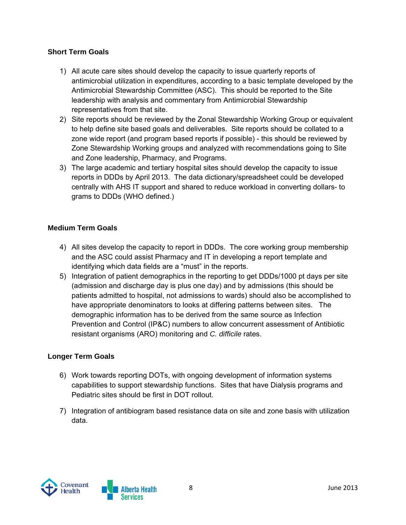#### **Short Term Goals**

- 1) All acute care sites should develop the capacity to issue quarterly reports of antimicrobial utilization in expenditures, according to a basic template developed by the Antimicrobial Stewardship Committee (ASC). This should be reported to the Site leadership with analysis and commentary from Antimicrobial Stewardship representatives from that site.
- 2) Site reports should be reviewed by the Zonal Stewardship Working Group or equivalent to help define site based goals and deliverables. Site reports should be collated to a zone wide report (and program based reports if possible) - this should be reviewed by Zone Stewardship Working groups and analyzed with recommendations going to Site and Zone leadership, Pharmacy, and Programs.
- 3) The large academic and tertiary hospital sites should develop the capacity to issue reports in DDDs by April 2013. The data dictionary/spreadsheet could be developed centrally with AHS IT support and shared to reduce workload in converting dollars- to grams to DDDs (WHO defined.)

#### **Medium Term Goals**

- 4) All sites develop the capacity to report in DDDs. The core working group membership and the ASC could assist Pharmacy and IT in developing a report template and identifying which data fields are a "must" in the reports.
- 5) Integration of patient demographics in the reporting to get DDDs/1000 pt days per site (admission and discharge day is plus one day) and by admissions (this should be patients admitted to hospital, not admissions to wards) should also be accomplished to have appropriate denominators to looks at differing patterns between sites. The demographic information has to be derived from the same source as Infection Prevention and Control (IP&C) numbers to allow concurrent assessment of Antibiotic resistant organisms (ARO) monitoring and *C. difficile* rates.

#### **Longer Term Goals**

- 6) Work towards reporting DOTs, with ongoing development of information systems capabilities to support stewardship functions. Sites that have Dialysis programs and Pediatric sites should be first in DOT rollout.
- 7) Integration of antibiogram based resistance data on site and zone basis with utilization data.

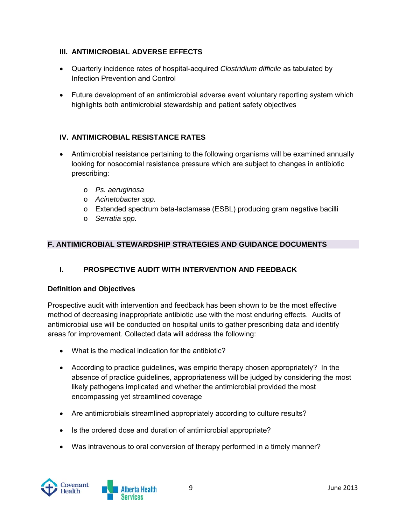#### **III. ANTIMICROBIAL ADVERSE EFFECTS**

- Quarterly incidence rates of hospital-acquired *Clostridium difficile* as tabulated by Infection Prevention and Control
- Future development of an antimicrobial adverse event voluntary reporting system which highlights both antimicrobial stewardship and patient safety objectives

#### **IV. ANTIMICROBIAL RESISTANCE RATES**

- Antimicrobial resistance pertaining to the following organisms will be examined annually looking for nosocomial resistance pressure which are subject to changes in antibiotic prescribing:
	- o *Ps. aeruginosa*
	- o *Acinetobacter spp.*
	- o Extended spectrum beta-lactamase (ESBL) producing gram negative bacilli
	- o *Serratia spp.*

#### **F. ANTIMICROBIAL STEWARDSHIP STRATEGIES AND GUIDANCE DOCUMENTS**

#### **I. PROSPECTIVE AUDIT WITH INTERVENTION AND FEEDBACK**

#### **Definition and Objectives**

Prospective audit with intervention and feedback has been shown to be the most effective method of decreasing inappropriate antibiotic use with the most enduring effects. Audits of antimicrobial use will be conducted on hospital units to gather prescribing data and identify areas for improvement. Collected data will address the following:

- What is the medical indication for the antibiotic?
- According to practice guidelines, was empiric therapy chosen appropriately? In the absence of practice guidelines, appropriateness will be judged by considering the most likely pathogens implicated and whether the antimicrobial provided the most encompassing yet streamlined coverage
- Are antimicrobials streamlined appropriately according to culture results?
- Is the ordered dose and duration of antimicrobial appropriate?
- Was intravenous to oral conversion of therapy performed in a timely manner?

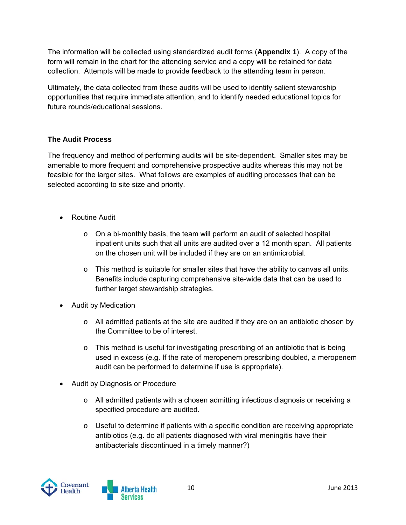The information will be collected using standardized audit forms (**Appendix 1**). A copy of the form will remain in the chart for the attending service and a copy will be retained for data collection. Attempts will be made to provide feedback to the attending team in person.

Ultimately, the data collected from these audits will be used to identify salient stewardship opportunities that require immediate attention, and to identify needed educational topics for future rounds/educational sessions.

### **The Audit Process**

The frequency and method of performing audits will be site-dependent. Smaller sites may be amenable to more frequent and comprehensive prospective audits whereas this may not be feasible for the larger sites. What follows are examples of auditing processes that can be selected according to site size and priority.

- Routine Audit
	- $\circ$  On a bi-monthly basis, the team will perform an audit of selected hospital inpatient units such that all units are audited over a 12 month span. All patients on the chosen unit will be included if they are on an antimicrobial.
	- $\circ$  This method is suitable for smaller sites that have the ability to canvas all units. Benefits include capturing comprehensive site-wide data that can be used to further target stewardship strategies.
- Audit by Medication
	- $\circ$  All admitted patients at the site are audited if they are on an antibiotic chosen by the Committee to be of interest.
	- $\circ$  This method is useful for investigating prescribing of an antibiotic that is being used in excess (e.g. If the rate of meropenem prescribing doubled, a meropenem audit can be performed to determine if use is appropriate).
- Audit by Diagnosis or Procedure
	- o All admitted patients with a chosen admitting infectious diagnosis or receiving a specified procedure are audited.
	- o Useful to determine if patients with a specific condition are receiving appropriate antibiotics (e.g. do all patients diagnosed with viral meningitis have their antibacterials discontinued in a timely manner?)

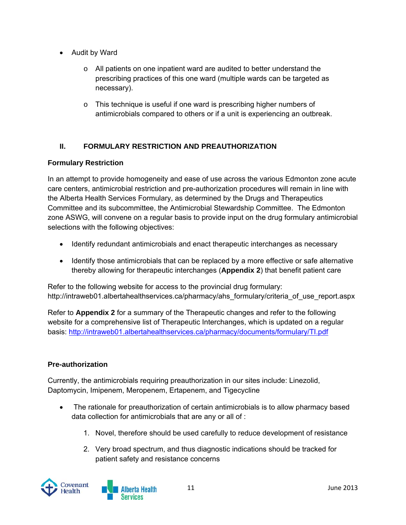- Audit by Ward
	- $\circ$  All patients on one inpatient ward are audited to better understand the prescribing practices of this one ward (multiple wards can be targeted as necessary).
	- o This technique is useful if one ward is prescribing higher numbers of antimicrobials compared to others or if a unit is experiencing an outbreak.

## **II. FORMULARY RESTRICTION AND PREAUTHORIZATION**

#### **Formulary Restriction**

In an attempt to provide homogeneity and ease of use across the various Edmonton zone acute care centers, antimicrobial restriction and pre-authorization procedures will remain in line with the Alberta Health Services Formulary, as determined by the Drugs and Therapeutics Committee and its subcommittee, the Antimicrobial Stewardship Committee. The Edmonton zone ASWG, will convene on a regular basis to provide input on the drug formulary antimicrobial selections with the following objectives:

- Identify redundant antimicrobials and enact therapeutic interchanges as necessary
- Identify those antimicrobials that can be replaced by a more effective or safe alternative thereby allowing for therapeutic interchanges (**Appendix 2**) that benefit patient care

Refer to the following website for access to the provincial drug formulary: http://intraweb01.albertahealthservices.ca/pharmacy/ahs\_formulary/criteria\_of\_use\_report.aspx

Refer to **Appendix 2** for a summary of the Therapeutic changes and refer to the following website for a comprehensive list of Therapeutic Interchanges, which is updated on a regular basis: http://intraweb01.albertahealthservices.ca/pharmacy/documents/formulary/TI.pdf

### **Pre-authorization**

Currently, the antimicrobials requiring preauthorization in our sites include: Linezolid, Daptomycin, Imipenem, Meropenem, Ertapenem, and Tigecycline

- The rationale for preauthorization of certain antimicrobials is to allow pharmacy based data collection for antimicrobials that are any or all of :
	- 1. Novel, therefore should be used carefully to reduce development of resistance
	- 2. Very broad spectrum, and thus diagnostic indications should be tracked for patient safety and resistance concerns

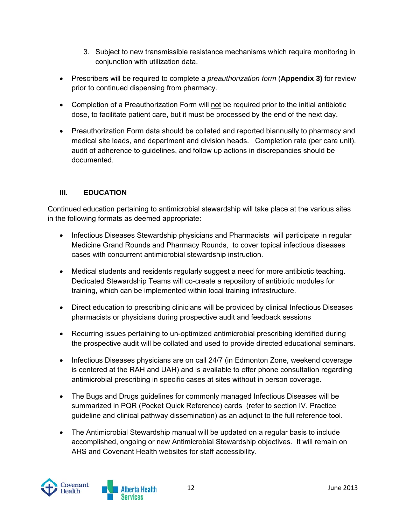- 3. Subject to new transmissible resistance mechanisms which require monitoring in conjunction with utilization data.
- Prescribers will be required to complete a *preauthorization form* (**Appendix 3)** for review prior to continued dispensing from pharmacy.
- Completion of a Preauthorization Form will not be required prior to the initial antibiotic dose, to facilitate patient care, but it must be processed by the end of the next day.
- Preauthorization Form data should be collated and reported biannually to pharmacy and medical site leads, and department and division heads. Completion rate (per care unit), audit of adherence to guidelines, and follow up actions in discrepancies should be documented.

### **III. EDUCATION**

Continued education pertaining to antimicrobial stewardship will take place at the various sites in the following formats as deemed appropriate:

- Infectious Diseases Stewardship physicians and Pharmacists will participate in regular Medicine Grand Rounds and Pharmacy Rounds, to cover topical infectious diseases cases with concurrent antimicrobial stewardship instruction.
- Medical students and residents regularly suggest a need for more antibiotic teaching. Dedicated Stewardship Teams will co-create a repository of antibiotic modules for training, which can be implemented within local training infrastructure.
- Direct education to prescribing clinicians will be provided by clinical Infectious Diseases pharmacists or physicians during prospective audit and feedback sessions
- Recurring issues pertaining to un-optimized antimicrobial prescribing identified during the prospective audit will be collated and used to provide directed educational seminars.
- Infectious Diseases physicians are on call 24/7 (in Edmonton Zone, weekend coverage is centered at the RAH and UAH) and is available to offer phone consultation regarding antimicrobial prescribing in specific cases at sites without in person coverage.
- The Bugs and Drugs guidelines for commonly managed Infectious Diseases will be summarized in PQR (Pocket Quick Reference) cards (refer to section IV. Practice guideline and clinical pathway dissemination) as an adjunct to the full reference tool.
- The Antimicrobial Stewardship manual will be updated on a regular basis to include accomplished, ongoing or new Antimicrobial Stewardship objectives. It will remain on AHS and Covenant Health websites for staff accessibility.

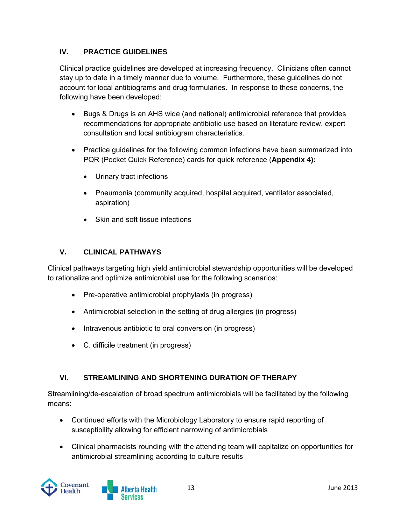#### **IV. PRACTICE GUIDELINES**

Clinical practice guidelines are developed at increasing frequency. Clinicians often cannot stay up to date in a timely manner due to volume. Furthermore, these guidelines do not account for local antibiograms and drug formularies. In response to these concerns, the following have been developed:

- Bugs & Drugs is an AHS wide (and national) antimicrobial reference that provides recommendations for appropriate antibiotic use based on literature review, expert consultation and local antibiogram characteristics.
- Practice guidelines for the following common infections have been summarized into PQR (Pocket Quick Reference) cards for quick reference (**Appendix 4):**
	- Urinary tract infections
	- Pneumonia (community acquired, hospital acquired, ventilator associated, aspiration)
	- Skin and soft tissue infections

#### **V. CLINICAL PATHWAYS**

Clinical pathways targeting high yield antimicrobial stewardship opportunities will be developed to rationalize and optimize antimicrobial use for the following scenarios:

- Pre-operative antimicrobial prophylaxis (in progress)
- Antimicrobial selection in the setting of drug allergies (in progress)
- Intravenous antibiotic to oral conversion (in progress)
- C. difficile treatment (in progress)

### **VI. STREAMLINING AND SHORTENING DURATION OF THERAPY**

Streamlining/de-escalation of broad spectrum antimicrobials will be facilitated by the following means:

- Continued efforts with the Microbiology Laboratory to ensure rapid reporting of susceptibility allowing for efficient narrowing of antimicrobials
- Clinical pharmacists rounding with the attending team will capitalize on opportunities for antimicrobial streamlining according to culture results

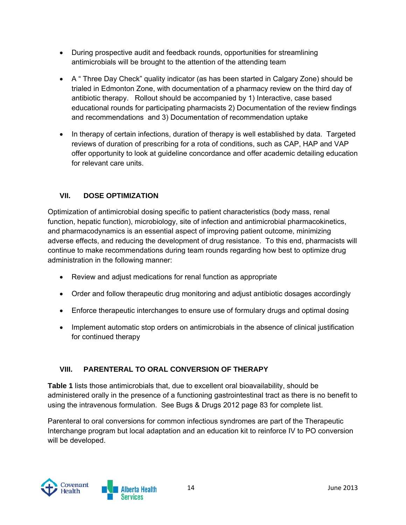- During prospective audit and feedback rounds, opportunities for streamlining antimicrobials will be brought to the attention of the attending team
- A " Three Day Check" quality indicator (as has been started in Calgary Zone) should be trialed in Edmonton Zone, with documentation of a pharmacy review on the third day of antibiotic therapy. Rollout should be accompanied by 1) Interactive, case based educational rounds for participating pharmacists 2) Documentation of the review findings and recommendations and 3) Documentation of recommendation uptake
- In therapy of certain infections, duration of therapy is well established by data. Targeted reviews of duration of prescribing for a rota of conditions, such as CAP, HAP and VAP offer opportunity to look at guideline concordance and offer academic detailing education for relevant care units.

## **VII. DOSE OPTIMIZATION**

Optimization of antimicrobial dosing specific to patient characteristics (body mass, renal function, hepatic function), microbiology, site of infection and antimicrobial pharmacokinetics, and pharmacodynamics is an essential aspect of improving patient outcome, minimizing adverse effects, and reducing the development of drug resistance. To this end, pharmacists will continue to make recommendations during team rounds regarding how best to optimize drug administration in the following manner:

- Review and adjust medications for renal function as appropriate
- Order and follow therapeutic drug monitoring and adjust antibiotic dosages accordingly
- Enforce therapeutic interchanges to ensure use of formulary drugs and optimal dosing
- Implement automatic stop orders on antimicrobials in the absence of clinical justification for continued therapy

### **VIII. PARENTERAL TO ORAL CONVERSION OF THERAPY**

**Table 1** lists those antimicrobials that, due to excellent oral bioavailability, should be administered orally in the presence of a functioning gastrointestinal tract as there is no benefit to using the intravenous formulation. See Bugs & Drugs 2012 page 83 for complete list.

Parenteral to oral conversions for common infectious syndromes are part of the Therapeutic Interchange program but local adaptation and an education kit to reinforce IV to PO conversion will be developed.

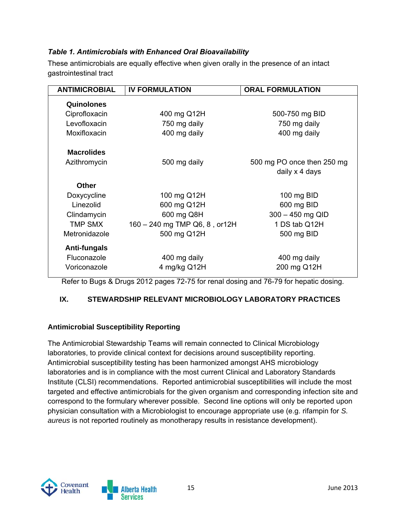#### *Table 1. Antimicrobials with Enhanced Oral Bioavailability*

These antimicrobials are equally effective when given orally in the presence of an intact gastrointestinal tract

| <b>ANTIMICROBIAL</b> | <b>IV FORMULATION</b>         | <b>ORAL FORMULATION</b>                      |
|----------------------|-------------------------------|----------------------------------------------|
| Quinolones           |                               |                                              |
| Ciprofloxacin        | 400 mg Q12H                   | 500-750 mg BID                               |
| Levofloxacin         | 750 mg daily                  | 750 mg daily                                 |
| Moxifloxacin         | 400 mg daily                  | 400 mg daily                                 |
| <b>Macrolides</b>    |                               |                                              |
| Azithromycin         | 500 mg daily                  | 500 mg PO once then 250 mg<br>daily x 4 days |
| <b>Other</b>         |                               |                                              |
| Doxycycline          | 100 mg Q12H                   | 100 mg BID                                   |
| Linezolid            | 600 mg Q12H                   | 600 mg BID                                   |
| Clindamycin          | 600 mg Q8H                    | $300 - 450$ mg QID                           |
| TMP SMX              | 160 - 240 mg TMP Q6, 8, or12H | 1 DS tab Q12H                                |
| Metronidazole        | 500 mg Q12H                   | 500 mg BID                                   |
| Anti-fungals         |                               |                                              |
| Fluconazole          | 400 mg daily                  | 400 mg daily                                 |
| Voriconazole         | 4 mg/kg Q12H                  | 200 mg Q12H                                  |

Refer to Bugs & Drugs 2012 pages 72-75 for renal dosing and 76-79 for hepatic dosing.

### **IX. STEWARDSHIP RELEVANT MICROBIOLOGY LABORATORY PRACTICES**

#### **Antimicrobial Susceptibility Reporting**

The Antimicrobial Stewardship Teams will remain connected to Clinical Microbiology laboratories, to provide clinical context for decisions around susceptibility reporting. Antimicrobial susceptibility testing has been harmonized amongst AHS microbiology laboratories and is in compliance with the most current Clinical and Laboratory Standards Institute (CLSI) recommendations. Reported antimicrobial susceptibilities will include the most targeted and effective antimicrobials for the given organism and corresponding infection site and correspond to the formulary wherever possible. Second line options will only be reported upon physician consultation with a Microbiologist to encourage appropriate use (e.g. rifampin for *S. aureus* is not reported routinely as monotherapy results in resistance development).

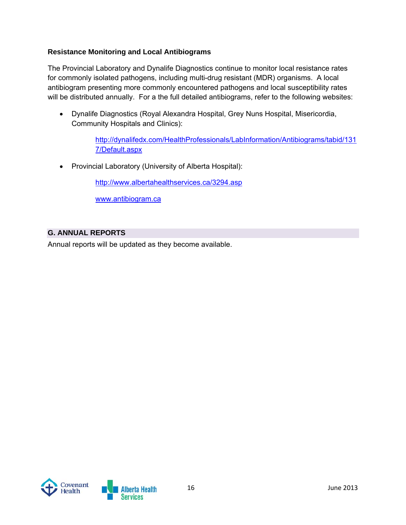#### **Resistance Monitoring and Local Antibiograms**

The Provincial Laboratory and Dynalife Diagnostics continue to monitor local resistance rates for commonly isolated pathogens, including multi-drug resistant (MDR) organisms. A local antibiogram presenting more commonly encountered pathogens and local susceptibility rates will be distributed annually. For a the full detailed antibiograms, refer to the following websites:

 Dynalife Diagnostics (Royal Alexandra Hospital, Grey Nuns Hospital, Misericordia, Community Hospitals and Clinics):

> http://dynalifedx.com/HealthProfessionals/LabInformation/Antibiograms/tabid/131 7/Default.aspx

• Provincial Laboratory (University of Alberta Hospital):

http://www.albertahealthservices.ca/3294.asp

www.antibiogram.ca

#### **G. ANNUAL REPORTS**

Annual reports will be updated as they become available.

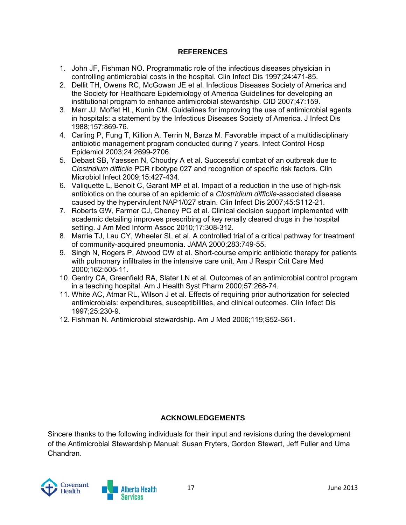#### **REFERENCES**

- 1. John JF, Fishman NO. Programmatic role of the infectious diseases physician in controlling antimicrobial costs in the hospital. Clin Infect Dis 1997;24:471-85.
- 2. Dellit TH, Owens RC, McGowan JE et al. Infectious Diseases Society of America and the Society for Healthcare Epidemiology of America Guidelines for developing an institutional program to enhance antimicrobial stewardship. CID 2007;47:159.
- 3. Marr JJ, Moffet HL, Kunin CM. Guidelines for improving the use of antimicrobial agents in hospitals: a statement by the Infectious Diseases Society of America. J Infect Dis 1988;157:869-76.
- 4. Carling P, Fung T, Killion A, Terrin N, Barza M. Favorable impact of a multidisciplinary antibiotic management program conducted during 7 years. Infect Control Hosp Epidemiol 2003;24:2699-2706.
- 5. Debast SB, Yaessen N, Choudry A et al. Successful combat of an outbreak due to *Clostridium difficile* PCR ribotype 027 and recognition of specific risk factors. Clin Microbiol Infect 2009;15:427-434.
- 6. Valiquette L, Benoit C, Garant MP et al. Impact of a reduction in the use of high-risk antibiotics on the course of an epidemic of a *Clostridium difficile*-associated disease caused by the hypervirulent NAP1/027 strain. Clin Infect Dis 2007;45:S112-21.
- 7. Roberts GW, Farmer CJ, Cheney PC et al. Clinical decision support implemented with academic detailing improves prescribing of key renally cleared drugs in the hospital setting. J Am Med Inform Assoc 2010;17:308-312.
- 8. Marrie TJ, Lau CY, Wheeler SL et al. A controlled trial of a critical pathway for treatment of community-acquired pneumonia. JAMA 2000;283:749-55.
- 9. Singh N, Rogers P, Atwood CW et al. Short-course empiric antibiotic therapy for patients with pulmonary infiltrates in the intensive care unit. Am J Respir Crit Care Med 2000;162:505-11.
- 10. Gentry CA, Greenfield RA, Slater LN et al. Outcomes of an antimicrobial control program in a teaching hospital. Am J Health Syst Pharm 2000;57:268-74.
- 11. White AC, Atmar RL, Wilson J et al. Effects of requiring prior authorization for selected antimicrobials: expenditures, susceptibilities, and clinical outcomes. Clin Infect Dis 1997;25:230-9.
- 12. Fishman N. Antimicrobial stewardship. Am J Med 2006;119;S52-S61.

#### **ACKNOWLEDGEMENTS**

Sincere thanks to the following individuals for their input and revisions during the development of the Antimicrobial Stewardship Manual: Susan Fryters, Gordon Stewart, Jeff Fuller and Uma Chandran.

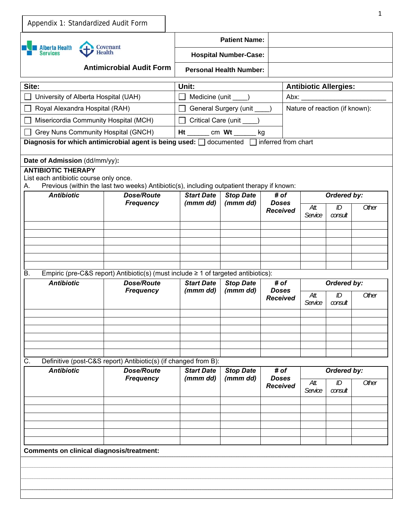| Appendix 1: Standardized Audit Form                                                                 |                                                                                            |                                       |                                                                                        |                                 |                                |               | 1     |
|-----------------------------------------------------------------------------------------------------|--------------------------------------------------------------------------------------------|---------------------------------------|----------------------------------------------------------------------------------------|---------------------------------|--------------------------------|---------------|-------|
| <b>Alberta Health</b><br>Services                                                                   | Covenant<br><b>Health</b><br><b>Antimicrobial Audit Form</b>                               |                                       | <b>Patient Name:</b><br><b>Hospital Number-Case:</b><br><b>Personal Health Number:</b> |                                 |                                |               |       |
| Site:                                                                                               |                                                                                            | Unit:                                 |                                                                                        |                                 |                                |               |       |
| University of Alberta Hospital (UAH)                                                                |                                                                                            | Medicine (unit ____)                  |                                                                                        |                                 | <b>Antibiotic Allergies:</b>   |               |       |
| Royal Alexandra Hospital (RAH)                                                                      |                                                                                            | General Surgery (unit ____)           |                                                                                        |                                 | Nature of reaction (if known): |               |       |
| Misericordia Community Hospital (MCH)                                                               |                                                                                            |                                       | Critical Care (unit _____)                                                             |                                 |                                |               |       |
| Grey Nuns Community Hospital (GNCH)                                                                 |                                                                                            | Ht ________ cm Wt _______ kg          |                                                                                        |                                 |                                |               |       |
| Diagnosis for which antimicrobial agent is being used: $\Box$ documented $\Box$ inferred from chart |                                                                                            |                                       |                                                                                        |                                 |                                |               |       |
| Date of Admission (dd/mm/yy):                                                                       |                                                                                            |                                       |                                                                                        |                                 |                                |               |       |
| <b>ANTIBIOTIC THERAPY</b><br>List each antibiotic course only once.                                 |                                                                                            |                                       |                                                                                        |                                 |                                |               |       |
| А.                                                                                                  | Previous (within the last two weeks) Antibiotic(s), including outpatient therapy if known: |                                       |                                                                                        |                                 |                                |               |       |
| <b>Antibiotic</b>                                                                                   | <b>Dose/Route</b>                                                                          | <b>Start Date</b><br>(mmm dd)         | <b>Stop Date</b><br>(mmm dd)                                                           | # of<br><b>Doses</b>            |                                | Ordered by:   |       |
|                                                                                                     | <b>Frequency</b>                                                                           |                                       |                                                                                        | <b>Received</b>                 | Att.<br>Service                | ID<br>consult | Other |
|                                                                                                     |                                                                                            |                                       |                                                                                        |                                 |                                |               |       |
|                                                                                                     |                                                                                            |                                       |                                                                                        |                                 |                                |               |       |
|                                                                                                     |                                                                                            |                                       |                                                                                        |                                 |                                |               |       |
|                                                                                                     |                                                                                            |                                       |                                                                                        |                                 |                                |               |       |
| Β.                                                                                                  | Empiric (pre-C&S report) Antibiotic(s) (must include $\geq 1$ of targeted antibiotics):    |                                       |                                                                                        |                                 |                                |               |       |
| <b>Antibiotic</b>                                                                                   | <b>Dose/Route</b>                                                                          | <b>Start Date</b><br><b>Stop Date</b> |                                                                                        | # of                            |                                | Ordered by:   |       |
|                                                                                                     | <b>Frequency</b>                                                                           | (mmm dd)                              | (mmm dd)                                                                               | <b>Doses</b><br><b>Received</b> | Att.<br>Service                | ID<br>consult | Other |
|                                                                                                     |                                                                                            |                                       |                                                                                        |                                 |                                |               |       |
| С.                                                                                                  | Definitive (post-C&S report) Antibiotic(s) (if changed from B):                            |                                       |                                                                                        |                                 |                                |               |       |
| <b>Antibiotic</b>                                                                                   | <b>Dose/Route</b>                                                                          | <b>Start Date</b>                     | <b>Stop Date</b>                                                                       | # of                            |                                | Ordered by:   |       |
|                                                                                                     | <b>Frequency</b>                                                                           | (mmm dd)                              | (mmm dd)                                                                               | <b>Doses</b><br><b>Received</b> | Att.<br>Service                | ID<br>consult | Other |
|                                                                                                     |                                                                                            |                                       |                                                                                        |                                 |                                |               |       |
|                                                                                                     |                                                                                            |                                       |                                                                                        |                                 |                                |               |       |
|                                                                                                     |                                                                                            |                                       |                                                                                        |                                 |                                |               |       |
|                                                                                                     |                                                                                            |                                       |                                                                                        |                                 |                                |               |       |
| <b>Comments on clinical diagnosis/treatment:</b>                                                    |                                                                                            |                                       |                                                                                        |                                 |                                |               |       |
|                                                                                                     |                                                                                            |                                       |                                                                                        |                                 |                                |               |       |
|                                                                                                     |                                                                                            |                                       |                                                                                        |                                 |                                |               |       |
|                                                                                                     |                                                                                            |                                       |                                                                                        |                                 |                                |               |       |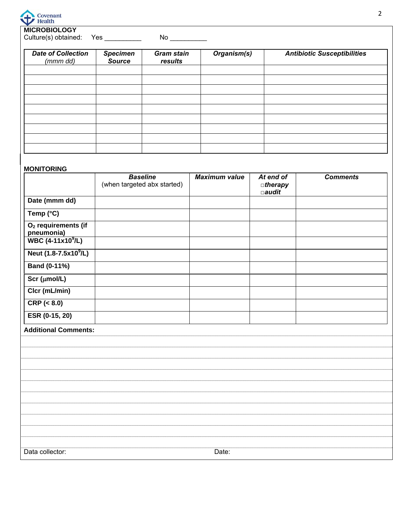

**MICROBIOLOGY**

Culture(s) obtained: Yes \_\_\_\_\_\_\_\_\_\_ No \_\_\_\_\_\_\_\_\_\_

| <b>Date of Collection</b><br>(mmm dd) | <b>Specimen</b><br><b>Source</b> | <b>Gram stain</b><br>results | Organism(s) | <b>Antibiotic Susceptibilities</b> |
|---------------------------------------|----------------------------------|------------------------------|-------------|------------------------------------|
|                                       |                                  |                              |             |                                    |
|                                       |                                  |                              |             |                                    |
|                                       |                                  |                              |             |                                    |
|                                       |                                  |                              |             |                                    |
|                                       |                                  |                              |             |                                    |
|                                       |                                  |                              |             |                                    |
|                                       |                                  |                              |             |                                    |
|                                       |                                  |                              |             |                                    |

#### **MONITORING**

|                                                                                | <b>Baseline</b><br>(when targeted abx started) | <b>Maximum value</b> | At end of<br>$a$ therapy<br>$\Box$ audit | <b>Comments</b> |
|--------------------------------------------------------------------------------|------------------------------------------------|----------------------|------------------------------------------|-----------------|
| Date (mmm dd)                                                                  |                                                |                      |                                          |                 |
| Temp (°C)                                                                      |                                                |                      |                                          |                 |
| O <sub>2</sub> requirements (if<br>pneumonia)<br>WBC (4-11x10 <sup>9</sup> /L) |                                                |                      |                                          |                 |
|                                                                                |                                                |                      |                                          |                 |
| Neut (1.8-7.5x10 <sup>9</sup> /L)                                              |                                                |                      |                                          |                 |
| <b>Band (0-11%)</b>                                                            |                                                |                      |                                          |                 |
| $Scr$ ( $\mu$ mol/L)                                                           |                                                |                      |                                          |                 |
| Clcr (mL/min)                                                                  |                                                |                      |                                          |                 |
| CRP ( < 8.0)                                                                   |                                                |                      |                                          |                 |
| ESR (0-15, 20)                                                                 |                                                |                      |                                          |                 |
| <b>Additional Comments:</b>                                                    |                                                |                      |                                          |                 |
|                                                                                |                                                |                      |                                          |                 |
|                                                                                |                                                |                      |                                          |                 |
|                                                                                |                                                |                      |                                          |                 |
|                                                                                |                                                |                      |                                          |                 |
|                                                                                |                                                |                      |                                          |                 |
|                                                                                |                                                |                      |                                          |                 |
|                                                                                |                                                |                      |                                          |                 |
|                                                                                |                                                |                      |                                          |                 |
|                                                                                |                                                |                      |                                          |                 |
| Data collector:                                                                |                                                | Date:                |                                          |                 |
|                                                                                |                                                |                      |                                          |                 |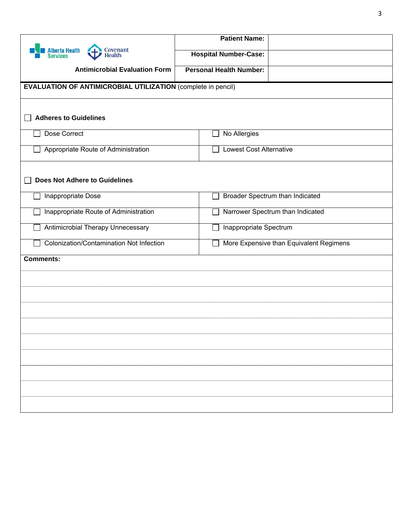|                                                                     | <b>Patient Name:</b>                    |  |
|---------------------------------------------------------------------|-----------------------------------------|--|
| Covenant<br><b>Alberta Health</b><br><b>Health</b><br>Services      | <b>Hospital Number-Case:</b>            |  |
| <b>Antimicrobial Evaluation Form</b>                                | <b>Personal Health Number:</b>          |  |
| <b>EVALUATION OF ANTIMICROBIAL UTILIZATION (complete in pencil)</b> |                                         |  |
| <b>Adheres to Guidelines</b>                                        |                                         |  |
| Dose Correct                                                        | No Allergies                            |  |
| Appropriate Route of Administration                                 | <b>Lowest Cost Alternative</b>          |  |
| <b>Does Not Adhere to Guidelines</b>                                |                                         |  |
| Inappropriate Dose                                                  | Broader Spectrum than Indicated         |  |
| Inappropriate Route of Administration                               | Narrower Spectrum than Indicated        |  |
| Antimicrobial Therapy Unnecessary                                   | Inappropriate Spectrum                  |  |
| Colonization/Contamination Not Infection                            | More Expensive than Equivalent Regimens |  |
| <b>Comments:</b>                                                    |                                         |  |
|                                                                     |                                         |  |
|                                                                     |                                         |  |
|                                                                     |                                         |  |
|                                                                     |                                         |  |
|                                                                     |                                         |  |
|                                                                     |                                         |  |
|                                                                     |                                         |  |
|                                                                     |                                         |  |
|                                                                     |                                         |  |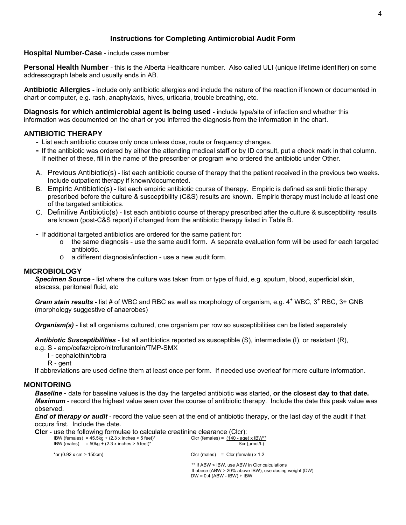#### **Instructions for Completing Antimicrobial Audit Form**

#### **Hospital Number-Case** - include case number

**Personal Health Number** - this is the Alberta Healthcare number. Also called ULI (unique lifetime identifier) on some addressograph labels and usually ends in AB.

**Antibiotic Allergies** - include only antibiotic allergies and include the nature of the reaction if known or documented in chart or computer, e.g. rash, anaphylaxis, hives, urticaria, trouble breathing, etc.

**Diagnosis for which antimicrobial agent is being used** - include type/site of infection and whether this information was documented on the chart or you inferred the diagnosis from the information in the chart.

#### **ANTIBIOTIC THERAPY**

- **-** List each antibiotic course only once unless dose, route or frequency changes.
- **-** If the antibiotic was ordered by either the attending medical staff or by ID consult, put a check mark in that column. If neither of these, fill in the name of the prescriber or program who ordered the antibiotic under Other.
- A. Previous Antibiotic(s) list each antibiotic course of therapy that the patient received in the previous two weeks. Include outpatient therapy if known/documented.
- B. Empiric Antibiotic(s) list each empiric antibiotic course of therapy. Empiric is defined as anti biotic therapy prescribed before the culture & susceptibility (C&S) results are known. Empiric therapy must include at least one of the targeted antibiotics.
- C. Definitive Antibiotic(s) list each antibiotic course of therapy prescribed after the culture & susceptibility results are known (post-C&S report) if changed from the antibiotic therapy listed in Table B.
- **-** If additional targeted antibiotics are ordered for the same patient for:
	- $\circ$  the same diagnosis use the same audit form. A separate evaluation form will be used for each targeted antibiotic.
	- o a different diagnosis/infection use a new audit form.

#### **MICROBIOLOGY**

*Specimen Source* - list where the culture was taken from or type of fluid, e.g. sputum, blood, superficial skin, abscess, peritoneal fluid, etc

Gram stain results - list # of WBC and RBC as well as morphology of organism, e.g. 4<sup>+</sup> WBC, 3<sup>+</sup> RBC, 3+ GNB (morphology suggestive of anaerobes)

*Organism(s)* - list all organisms cultured, one organism per row so susceptibilities can be listed separately

*Antibiotic Susceptibilities* - list all antibiotics reported as susceptible (S), intermediate (I), or resistant (R), e.g. S - amp/cefaz/cipro/nitrofurantoin/TMP-SMX

I - cephalothin/tobra

R - gent

If abbreviations are used define them at least once per form. If needed use overleaf for more culture information.

#### **MONITORING**

*Baseline* - date for baseline values is the day the targeted antibiotic was started, **or the closest day to that date.**  *Maximum* - record the highest value seen over the course of antibiotic therapy. Include the date this peak value was observed.

*End of therapy or audit* - record the value seen at the end of antibiotic therapy, or the last day of the audit if that occurs first. Include the date.

**Clcr** - use the following formulae to calculate creatinine clearance (Clcr):

|             | IBW (females) = $45.5$ kg + $(2.3 \times$ inches > 5 feet)* |
|-------------|-------------------------------------------------------------|
| IBW (males) | $=$ 50kg + (2.3 x inches > 5 feet)*                         |

Clcr (females) =  $(140 - age) \times IBW^{**}$  $Scr$  ( $\mu$ mol/L)

 $DW = 0.4$  (ABW - IBW) + IBW

 $*$ or (0.92 x cm > 150cm) Clcr (males) = Clcr (female) x 1.2

\*\* If ABW < IBW, use ABW in Clcr calculations If obese (ABW > 20% above IBW), use dosing weight (DW)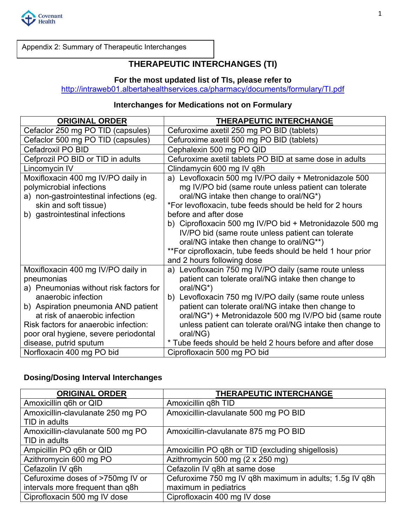

Appendix 2: Summary of Therapeutic Interchanges

# **THERAPEUTIC INTERCHANGES (TI)**

## **For the most updated list of TIs, please refer to**

http://intraweb01.albertahealthservices.ca/pharmacy/documents/formulary/TI.pdf

## **Interchanges for Medications not on Formulary**

| <b>ORIGINAL ORDER</b>                                                                                                                                                                                                                                                                                                               | <b>THERAPEUTIC INTERCHANGE</b>                                                                                                                                                                                                                                                                                                                                                                                                                                                                           |
|-------------------------------------------------------------------------------------------------------------------------------------------------------------------------------------------------------------------------------------------------------------------------------------------------------------------------------------|----------------------------------------------------------------------------------------------------------------------------------------------------------------------------------------------------------------------------------------------------------------------------------------------------------------------------------------------------------------------------------------------------------------------------------------------------------------------------------------------------------|
| Cefaclor 250 mg PO TID (capsules)                                                                                                                                                                                                                                                                                                   | Cefuroxime axetil 250 mg PO BID (tablets)                                                                                                                                                                                                                                                                                                                                                                                                                                                                |
| Cefaclor 500 mg PO TID (capsules)                                                                                                                                                                                                                                                                                                   | Cefuroxime axetil 500 mg PO BID (tablets)                                                                                                                                                                                                                                                                                                                                                                                                                                                                |
| Cefadroxil PO BID                                                                                                                                                                                                                                                                                                                   | Cephalexin 500 mg PO QID                                                                                                                                                                                                                                                                                                                                                                                                                                                                                 |
| Cefprozil PO BID or TID in adults                                                                                                                                                                                                                                                                                                   | Cefuroxime axetil tablets PO BID at same dose in adults                                                                                                                                                                                                                                                                                                                                                                                                                                                  |
| Lincomycin IV                                                                                                                                                                                                                                                                                                                       | Clindamycin 600 mg IV q8h                                                                                                                                                                                                                                                                                                                                                                                                                                                                                |
| Moxifloxacin 400 mg IV/PO daily in<br>polymicrobial infections<br>a) non-gastrointestinal infections (eg.<br>skin and soft tissue)<br>b) gastrointestinal infections                                                                                                                                                                | a) Levofloxacin 500 mg IV/PO daily + Metronidazole 500<br>mg IV/PO bid (same route unless patient can tolerate<br>oral/NG intake then change to oral/NG*)<br>*For levofloxacin, tube feeds should be held for 2 hours<br>before and after dose<br>b) Ciprofloxacin 500 mg IV/PO bid + Metronidazole 500 mg<br>IV/PO bid (same route unless patient can tolerate<br>oral/NG intake then change to oral/NG**)<br>**For ciprofloxacin, tube feeds should be held 1 hour prior<br>and 2 hours following dose |
| Moxifloxacin 400 mg IV/PO daily in<br>pneumonias<br>a) Pneumonias without risk factors for<br>anaerobic infection<br>b) Aspiration pneumonia AND patient<br>at risk of anaerobic infection<br>Risk factors for anaerobic infection:<br>poor oral hygiene, severe periodontal<br>disease, putrid sputum<br>Norfloxacin 400 mg PO bid | a) Levofloxacin 750 mg IV/PO daily (same route unless<br>patient can tolerate oral/NG intake then change to<br>oral/NG*)<br>b) Levofloxacin 750 mg IV/PO daily (same route unless<br>patient can tolerate oral/NG intake then change to<br>oral/NG*) + Metronidazole 500 mg IV/PO bid (same route<br>unless patient can tolerate oral/NG intake then change to<br>oral/NG)<br>* Tube feeds should be held 2 hours before and after dose<br>Ciprofloxacin 500 mg PO bid                                   |

## **Dosing/Dosing Interval Interchanges**

| <b>ORIGINAL ORDER</b>             | THERAPEUTIC INTERCHANGE                                 |
|-----------------------------------|---------------------------------------------------------|
| Amoxicillin q6h or QID            | Amoxicillin q8h TID                                     |
| Amoxicillin-clavulanate 250 mg PO | Amoxicillin-clavulanate 500 mg PO BID                   |
| TID in adults                     |                                                         |
| Amoxicillin-clavulanate 500 mg PO | Amoxicillin-clavulanate 875 mg PO BID                   |
| TID in adults                     |                                                         |
| Ampicillin PO q6h or QID          | Amoxicillin PO q8h or TID (excluding shigellosis)       |
| Azithromycin 600 mg PO            | Azithromycin 500 mg (2 x 250 mg)                        |
| Cefazolin IV q6h                  | Cefazolin IV q8h at same dose                           |
| Cefuroxime doses of >750mg IV or  | Cefuroxime 750 mg IV q8h maximum in adults; 1.5q IV q8h |
| intervals more frequent than q8h  | maximum in pediatrics                                   |
| Ciprofloxacin 500 mg IV dose      | Ciprofloxacin 400 mg IV dose                            |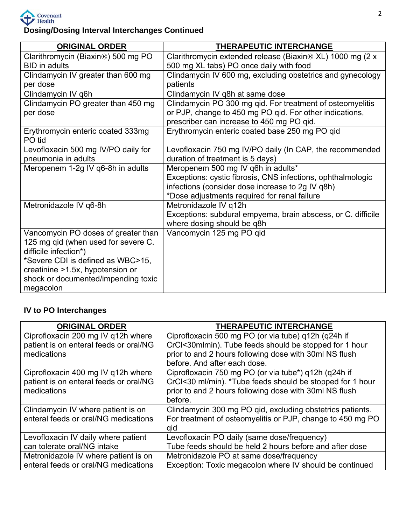

**Dosing/Dosing Interval Interchanges Continued** 

| <b>ORIGINAL ORDER</b>                            | THERAPEUTIC INTERCHANGE                                                                                                                                           |
|--------------------------------------------------|-------------------------------------------------------------------------------------------------------------------------------------------------------------------|
| Clarithromycin (Biaxin <sup>®</sup> ) 500 mg PO  | Clarithromycin extended release (Biaxin® XL) 1000 mg (2 x                                                                                                         |
| <b>BID</b> in adults                             | 500 mg XL tabs) PO once daily with food                                                                                                                           |
| Clindamycin IV greater than 600 mg               | Clindamycin IV 600 mg, excluding obstetrics and gynecology                                                                                                        |
| per dose                                         | patients                                                                                                                                                          |
| Clindamycin IV q6h                               | Clindamycin IV q8h at same dose                                                                                                                                   |
| Clindamycin PO greater than 450 mg<br>per dose   | Clindamycin PO 300 mg qid. For treatment of osteomyelitis<br>or PJP, change to 450 mg PO qid. For other indications,<br>prescriber can increase to 450 mg PO qid. |
| Erythromycin enteric coated 333mg<br>PO tid      | Erythromycin enteric coated base 250 mg PO qid                                                                                                                    |
| Levofloxacin 500 mg IV/PO daily for              | Levofloxacin 750 mg IV/PO daily (In CAP, the recommended                                                                                                          |
| pneumonia in adults                              | duration of treatment is 5 days)                                                                                                                                  |
| Meropenem 1-2g IV q6-8h in adults                | Meropenem 500 mg IV q6h in adults*                                                                                                                                |
|                                                  | Exceptions: cystic fibrosis, CNS infections, ophthalmologic                                                                                                       |
|                                                  | infections (consider dose increase to 2g IV q8h)                                                                                                                  |
|                                                  | *Dose adjustments required for renal failure                                                                                                                      |
| Metronidazole IV q6-8h                           | Metronidazole IV q12h                                                                                                                                             |
|                                                  | Exceptions: subdural empyema, brain abscess, or C. difficile<br>where dosing should be q8h                                                                        |
| Vancomycin PO doses of greater than              | Vancomycin 125 mg PO gid                                                                                                                                          |
| 125 mg qid (when used for severe C.              |                                                                                                                                                                   |
| difficile infection*)                            |                                                                                                                                                                   |
| *Severe CDI is defined as WBC>15,                |                                                                                                                                                                   |
| creatinine >1.5x, hypotension or                 |                                                                                                                                                                   |
| shock or documented/impending toxic<br>megacolon |                                                                                                                                                                   |

# **IV to PO Interchanges**

| <b>ORIGINAL ORDER</b>                  | <b>THERAPEUTIC INTERCHANGE</b>                             |
|----------------------------------------|------------------------------------------------------------|
| Ciprofloxacin 200 mg IV q12h where     | Ciprofloxacin 500 mg PO (or via tube) q12h (q24h if        |
| patient is on enteral feeds or oral/NG | CrCl<30mlmin). Tube feeds should be stopped for 1 hour     |
| medications                            | prior to and 2 hours following dose with 30ml NS flush     |
|                                        | before. And after each dose.                               |
| Ciprofloxacin 400 mg IV q12h where     | Ciprofloxacin 750 mg PO (or via tube*) g12h (g24h if       |
| patient is on enteral feeds or oral/NG | CrCl<30 ml/min). *Tube feeds should be stopped for 1 hour  |
| medications                            | prior to and 2 hours following dose with 30ml NS flush     |
|                                        | before.                                                    |
| Clindamycin IV where patient is on     | Clindamycin 300 mg PO gid, excluding obstetrics patients.  |
| enteral feeds or oral/NG medications   | For treatment of osteomyelitis or PJP, change to 450 mg PO |
|                                        | qid                                                        |
| Levofloxacin IV daily where patient    | Levofloxacin PO daily (same dose/frequency)                |
| can tolerate oral/NG intake            | Tube feeds should be held 2 hours before and after dose    |
| Metronidazole IV where patient is on   | Metronidazole PO at same dose/frequency                    |
| enteral feeds or oral/NG medications   | Exception: Toxic megacolon where IV should be continued    |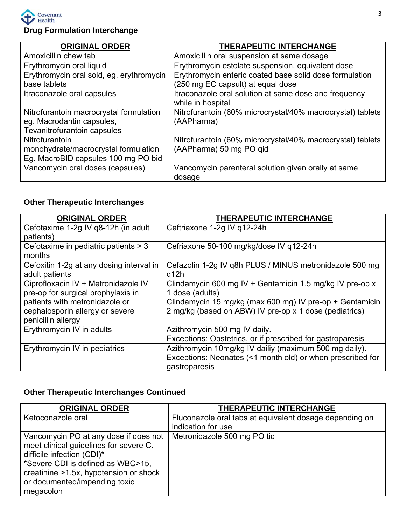

# **Drug Formulation Interchange**

| <b>ORIGINAL ORDER</b>                                    | <b>THERAPEUTIC INTERCHANGE</b>                                                               |
|----------------------------------------------------------|----------------------------------------------------------------------------------------------|
| Amoxicillin chew tab                                     | Amoxicillin oral suspension at same dosage                                                   |
| Erythromycin oral liquid                                 | Erythromycin estolate suspension, equivalent dose                                            |
| Erythromycin oral sold, eg. erythromycin<br>base tablets | Erythromycin enteric coated base solid dose formulation<br>(250 mg EC capsult) at equal dose |
| Itraconazole oral capsules                               | Itraconazole oral solution at same dose and frequency<br>while in hospital                   |
| Nitrofurantoin macrocrystal formulation                  | Nitrofurantoin (60% microcrystal/40% macrocrystal) tablets                                   |
| eg. Macrodantin capsules,                                | (AAPharma)                                                                                   |
| Tevanitrofurantoin capsules                              |                                                                                              |
| Nitrofurantoin                                           | Nitrofurantoin (60% microcrystal/40% macrocrystal) tablets                                   |
| monohydrate/macrocrystal formulation                     | (AAPharma) 50 mg PO qid                                                                      |
| Eg. MacroBID capsules 100 mg PO bid                      |                                                                                              |
| Vancomycin oral doses (capsules)                         | Vancomycin parenteral solution given orally at same                                          |
|                                                          | dosage                                                                                       |

# **Other Therapeutic Interchanges**

| <b>ORIGINAL ORDER</b>                    | <b>THERAPEUTIC INTERCHANGE</b>                             |
|------------------------------------------|------------------------------------------------------------|
| Cefotaxime 1-2g IV q8-12h (in adult      | Ceftriaxone 1-2g IV q12-24h                                |
| patients)                                |                                                            |
| Cefotaxime in pediatric patients > 3     | Cefriaxone 50-100 mg/kg/dose IV q12-24h                    |
| months                                   |                                                            |
| Cefoxitin 1-2g at any dosing interval in | Cefazolin 1-2g IV q8h PLUS / MINUS metronidazole 500 mg    |
| adult patients                           | q12h                                                       |
| Ciprofloxacin IV + Metronidazole IV      | Clindamycin 600 mg IV + Gentamicin 1.5 mg/kg IV pre-op x   |
| pre-op for surgical prophylaxis in       | 1 dose (adults)                                            |
| patients with metronidazole or           | Clindamycin 15 mg/kg (max 600 mg) IV pre-op + Gentamicin   |
| cephalosporin allergy or severe          | 2 mg/kg (based on ABW) IV pre-op x 1 dose (pediatrics)     |
| penicillin allergy                       |                                                            |
| Erythromycin IV in adults                | Azithromycin 500 mg IV daily.                              |
|                                          | Exceptions: Obstetrics, or if prescribed for gastroparesis |
| Erythromycin IV in pediatrics            | Azithromycin 10mg/kg IV dailiy (maximum 500 mg daily).     |
|                                          | Exceptions: Neonates (<1 month old) or when prescribed for |
|                                          | gastroparesis                                              |

# **Other Therapeutic Interchanges Continued**

| <b>ORIGINAL ORDER</b>                  | <b>THERAPEUTIC INTERCHANGE</b>                          |
|----------------------------------------|---------------------------------------------------------|
| Ketoconazole oral                      | Fluconazole oral tabs at equivalent dosage depending on |
|                                        | indication for use                                      |
| Vancomycin PO at any dose if does not  | Metronidazole 500 mg PO tid                             |
| meet clinical guidelines for severe C. |                                                         |
| difficile infection (CDI)*             |                                                         |
| *Severe CDI is defined as WBC>15,      |                                                         |
| creatinine >1.5x, hypotension or shock |                                                         |
| or documented/impending toxic          |                                                         |
| megacolon                              |                                                         |